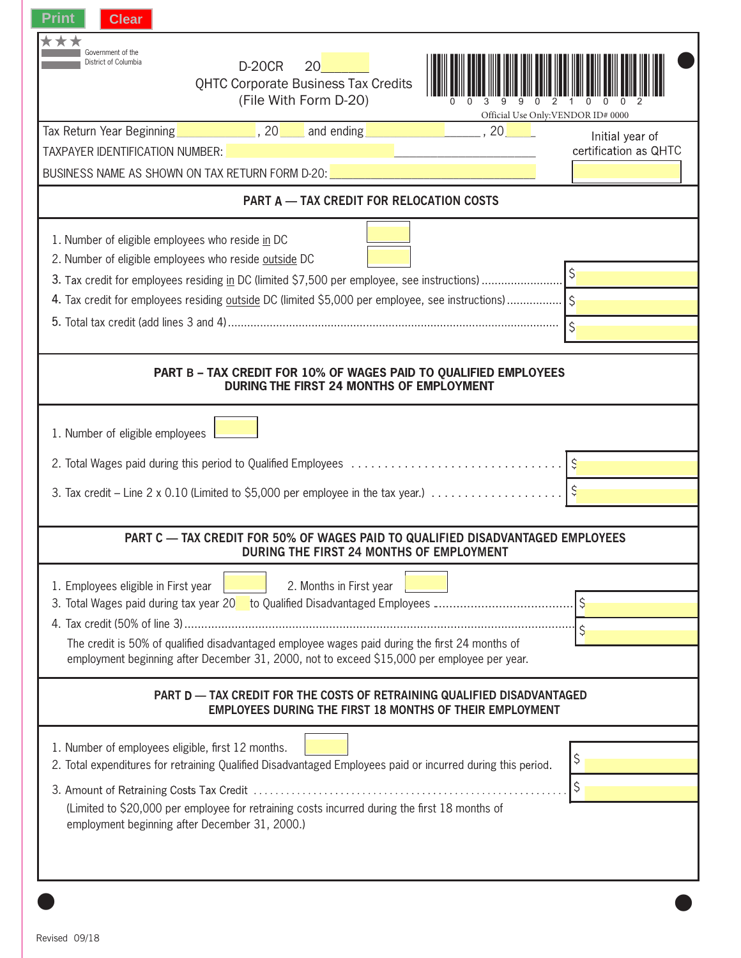| <b>Print</b><br><b>Clear</b>                                                                                                                                                                                  |                                    |  |
|---------------------------------------------------------------------------------------------------------------------------------------------------------------------------------------------------------------|------------------------------------|--|
| Government of the<br>District of Columbia<br>20<br><b>D-20CR</b><br><b>QHTC Corporate Business Tax Credits</b><br>(File With Form D-20)                                                                       | Official Use Only: VENDOR ID# 0000 |  |
| Tax Return Year Beginning <u>Network: 20</u> , 20 Network and ending Network 20 Network 20 Network 30 Network                                                                                                 | Initial year of                    |  |
| TAXPAYER IDENTIFICATION NUMBER:                                                                                                                                                                               | certification as QHTC              |  |
| BUSINESS NAME AS SHOWN ON TAX RETURN FORM D-20:                                                                                                                                                               |                                    |  |
| <b>PART A - TAX CREDIT FOR RELOCATION COSTS</b>                                                                                                                                                               |                                    |  |
| 1. Number of eligible employees who reside in DC<br>2. Number of eligible employees who reside outside DC<br>4. Tax credit for employees residing outside DC (limited \$5,000 per employee, see instructions) | $\overline{S}$                     |  |
|                                                                                                                                                                                                               |                                    |  |
|                                                                                                                                                                                                               | $\overline{S}$                     |  |
| PART B - TAX CREDIT FOR 10% OF WAGES PAID TO QUALIFIED EMPLOYEES<br>DURING THE FIRST 24 MONTHS OF EMPLOYMENT                                                                                                  |                                    |  |
| 1. Number of eligible employees                                                                                                                                                                               |                                    |  |
| PART C - TAX CREDIT FOR 50% OF WAGES PAID TO QUALIFIED DISADVANTAGED EMPLOYEES<br>DURING THE FIRST 24 MONTHS OF EMPLOYMENT                                                                                    |                                    |  |
| 2. Months in First year<br>1. Employees eligible in First year                                                                                                                                                |                                    |  |
|                                                                                                                                                                                                               |                                    |  |
|                                                                                                                                                                                                               | l٤                                 |  |
| The credit is 50% of qualified disadvantaged employee wages paid during the first 24 months of<br>employment beginning after December 31, 2000, not to exceed \$15,000 per employee per year.                 |                                    |  |
| PART D - TAX CREDIT FOR THE COSTS OF RETRAINING QUALIFIED DISADVANTAGED<br><b>EMPLOYEES DURING THE FIRST 18 MONTHS OF THEIR EMPLOYMENT</b>                                                                    |                                    |  |
| 1. Number of employees eligible, first 12 months.<br>2. Total expenditures for retraining Qualified Disadvantaged Employees paid or incurred during this period.                                              |                                    |  |
| (Limited to \$20,000 per employee for retraining costs incurred during the first 18 months of<br>employment beginning after December 31, 2000.)                                                               | \$                                 |  |
|                                                                                                                                                                                                               |                                    |  |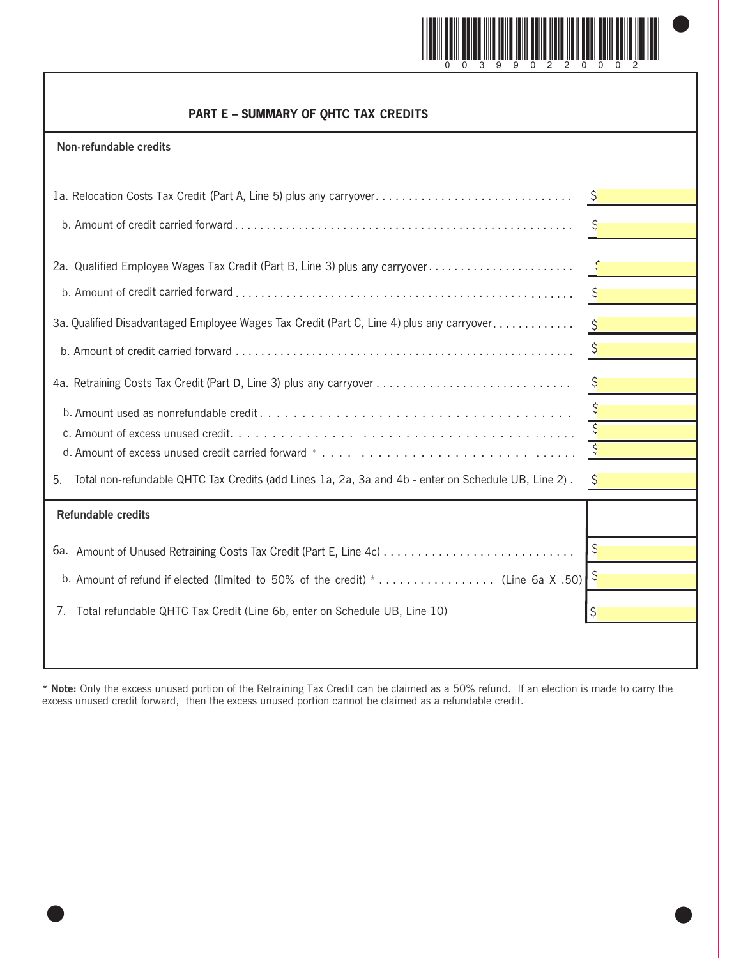

## **PART E – SUMMARY OF QHTC CREDITS TAX**

| Non-refundable credits                                                                                       |                              |
|--------------------------------------------------------------------------------------------------------------|------------------------------|
| 1a. Relocation Costs Tax Credit (Part A, Line 5) plus any carryover                                          | S,<br>$\mathcal{S}$          |
| 2a. Qualified Employee Wages Tax Credit (Part B, Line 3) plus any carryover                                  | \$.                          |
| 3a. Qualified Disadvantaged Employee Wages Tax Credit (Part C, Line 4) plus any carryover                    | $\mathsf{S}$<br>$\mathsf{S}$ |
| 4a. Retraining Costs Tax Credit (Part D, Line 3) plus any carryover                                          | \$                           |
|                                                                                                              | $\overline{\xi}$             |
| Total non-refundable QHTC Tax Credits (add Lines 1a, 2a, 3a and 4b - enter on Schedule UB, Line 2).<br>$5 -$ | $\mathsf{S}$                 |
| <b>Refundable credits</b>                                                                                    |                              |
|                                                                                                              | Ŝ                            |
| b. Amount of refund if elected (limited to 50% of the credit) * (Line 6a X .50)                              | \$                           |
| Total refundable QHTC Tax Credit (Line 6b, enter on Schedule UB, Line 10)<br>$\mathcal{L}$ .                 | Ş                            |

\* **Note:** Only the excess unused portion of the Retraining Tax Credit can be claimed as a 50% refund. If an election is made to carry the excess unused credit forward, then the excess unused portion cannot be claimed as a refundable credit.